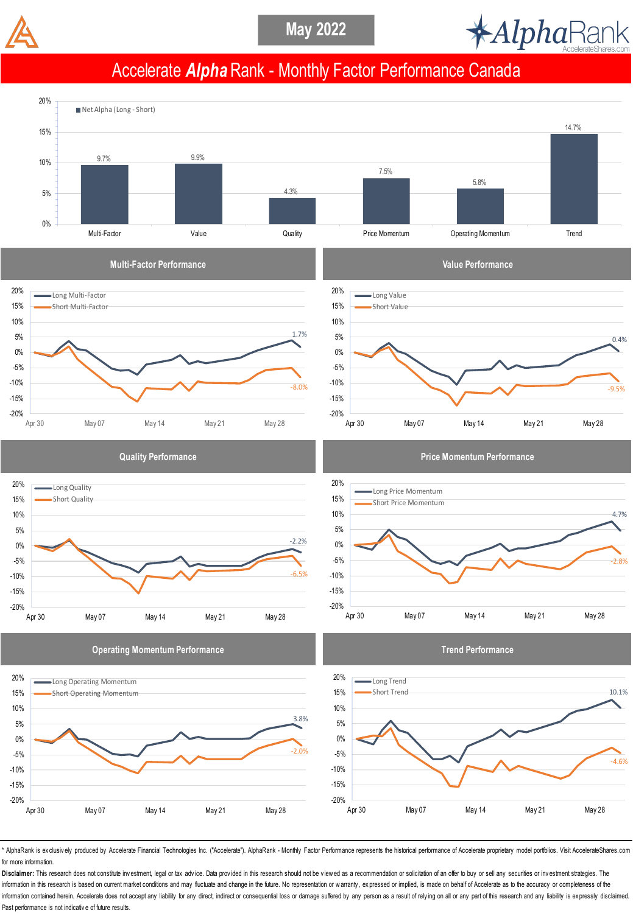



## Accelerate *Alpha* Rank - Monthly Factor Performance Canada



\* AlphaRank is exclusively produced by Accelerate Financial Technologies Inc. ("Accelerate"). AlphaRank - Monthly Factor Performance represents the historical performance of Accelerate proprietary model portfolios. Visit A for more information.

Disclaimer: This research does not constitute investment, legal or tax advice. Data provided in this research should not be viewed as a recommendation or solicitation of an offer to buy or sell any securities or investment information in this research is based on current market conditions and may fluctuate and change in the future. No representation or warranty, expressed or implied, is made on behalf of Accelerate as to the accuracy or comp information contained herein. Accelerate does not accept any liability for any direct, indirect or consequential loss or damage suffered by any person as a result of relying on all or any part of this research and any liab Past performance is not indicative of future results.